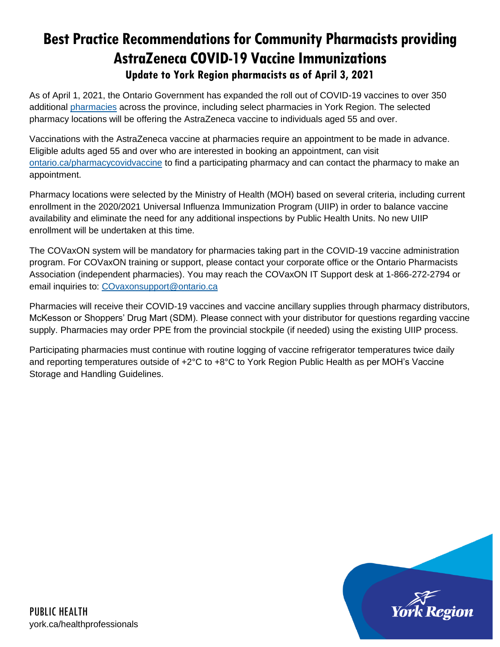# **Best Practice Recommendations for Community Pharmacists providing AstraZeneca COVID-19 Vaccine Immunizations Update to York Region pharmacists as of April 3, 2021**

As of April 1, 2021, the Ontario Government has expanded the roll out of COVID-19 vaccines to over 350 additional [pharmacies](https://covid-19.ontario.ca/vaccine-locations) across the province, including select pharmacies in York Region. The selected pharmacy locations will be offering the AstraZeneca vaccine to individuals aged 55 and over.

Vaccinations with the AstraZeneca vaccine at pharmacies require an appointment to be made in advance. Eligible adults aged 55 and over who are interested in booking an appointment, can visit [ontario.ca/pharmacycovidvaccine](http://ontario.ca/pharmacycovidvaccine) to find a participating pharmacy and can contact the pharmacy to make an appointment.

Pharmacy locations were selected by the Ministry of Health (MOH) based on several criteria, including current enrollment in the 2020/2021 Universal Influenza Immunization Program (UIIP) in order to balance vaccine availability and eliminate the need for any additional inspections by Public Health Units. No new UIIP enrollment will be undertaken at this time.

The COVaxON system will be mandatory for pharmacies taking part in the COVID-19 vaccine administration program. For COVaxON training or support, please contact your corporate office or the Ontario Pharmacists Association (independent pharmacies). You may reach the COVaxON IT Support desk at 1-866-272-2794 or email inquiries to: [COvaxonsupport@ontario.ca](mailto:COvaxonsupport@ontario.ca)

Pharmacies will receive their COVID-19 vaccines and vaccine ancillary supplies through pharmacy distributors, McKesson or Shoppers' Drug Mart (SDM). Please connect with your distributor for questions regarding vaccine supply. Pharmacies may order PPE from the provincial stockpile (if needed) using the existing UIIP process.

Participating pharmacies must continue with routine logging of vaccine refrigerator temperatures twice daily and reporting temperatures outside of +2°C to +8°C to York Region Public Health as per MOH's Vaccine Storage and Handling Guidelines.

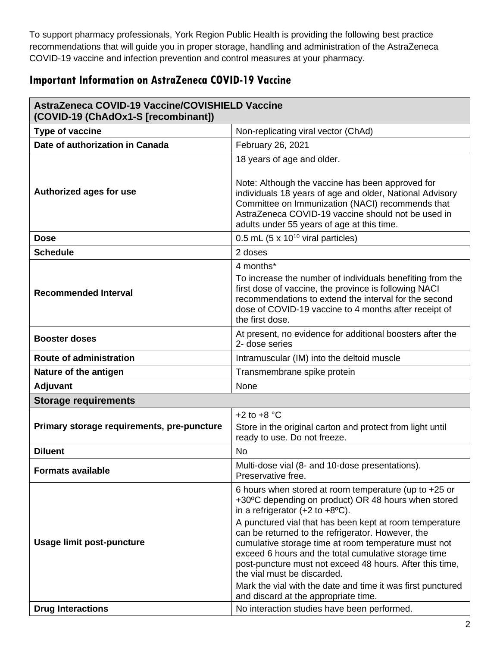To support pharmacy professionals, York Region Public Health is providing the following best practice recommendations that will guide you in proper storage, handling and administration of the AstraZeneca COVID-19 vaccine and infection prevention and control measures at your pharmacy.

# **Important Information on AstraZeneca COVID-19 Vaccine**

| AstraZeneca COVID-19 Vaccine/COVISHIELD Vaccine<br>(COVID-19 (ChAdOx1-S [recombinant]) |                                                                                                                                                                                                                                                                                                                                                                                                                                                                                                                                                                                                               |
|----------------------------------------------------------------------------------------|---------------------------------------------------------------------------------------------------------------------------------------------------------------------------------------------------------------------------------------------------------------------------------------------------------------------------------------------------------------------------------------------------------------------------------------------------------------------------------------------------------------------------------------------------------------------------------------------------------------|
| <b>Type of vaccine</b>                                                                 | Non-replicating viral vector (ChAd)                                                                                                                                                                                                                                                                                                                                                                                                                                                                                                                                                                           |
| Date of authorization in Canada                                                        | February 26, 2021                                                                                                                                                                                                                                                                                                                                                                                                                                                                                                                                                                                             |
| Authorized ages for use                                                                | 18 years of age and older.<br>Note: Although the vaccine has been approved for<br>individuals 18 years of age and older, National Advisory<br>Committee on Immunization (NACI) recommends that<br>AstraZeneca COVID-19 vaccine should not be used in<br>adults under 55 years of age at this time.                                                                                                                                                                                                                                                                                                            |
| <b>Dose</b>                                                                            | 0.5 mL $(5 \times 10^{10} \text{ viral particles})$                                                                                                                                                                                                                                                                                                                                                                                                                                                                                                                                                           |
| <b>Schedule</b>                                                                        | 2 doses                                                                                                                                                                                                                                                                                                                                                                                                                                                                                                                                                                                                       |
| <b>Recommended Interval</b>                                                            | 4 months*<br>To increase the number of individuals benefiting from the<br>first dose of vaccine, the province is following NACI<br>recommendations to extend the interval for the second<br>dose of COVID-19 vaccine to 4 months after receipt of<br>the first dose.                                                                                                                                                                                                                                                                                                                                          |
| <b>Booster doses</b>                                                                   | At present, no evidence for additional boosters after the<br>2- dose series                                                                                                                                                                                                                                                                                                                                                                                                                                                                                                                                   |
| <b>Route of administration</b>                                                         | Intramuscular (IM) into the deltoid muscle                                                                                                                                                                                                                                                                                                                                                                                                                                                                                                                                                                    |
| Nature of the antigen                                                                  | Transmembrane spike protein                                                                                                                                                                                                                                                                                                                                                                                                                                                                                                                                                                                   |
| <b>Adjuvant</b>                                                                        | None                                                                                                                                                                                                                                                                                                                                                                                                                                                                                                                                                                                                          |
| <b>Storage requirements</b>                                                            |                                                                                                                                                                                                                                                                                                                                                                                                                                                                                                                                                                                                               |
| Primary storage requirements, pre-puncture                                             | $+2$ to $+8$ °C<br>Store in the original carton and protect from light until<br>ready to use. Do not freeze.                                                                                                                                                                                                                                                                                                                                                                                                                                                                                                  |
| <b>Diluent</b>                                                                         | <b>No</b>                                                                                                                                                                                                                                                                                                                                                                                                                                                                                                                                                                                                     |
| <b>Formats available</b>                                                               | Multi-dose vial (8- and 10-dose presentations).<br>Preservative free.                                                                                                                                                                                                                                                                                                                                                                                                                                                                                                                                         |
| <b>Usage limit post-puncture</b>                                                       | 6 hours when stored at room temperature (up to $+25$ or<br>+30°C depending on product) OR 48 hours when stored<br>in a refrigerator $(+2 \text{ to } +8^{\circ}\text{C})$ .<br>A punctured vial that has been kept at room temperature<br>can be returned to the refrigerator. However, the<br>cumulative storage time at room temperature must not<br>exceed 6 hours and the total cumulative storage time<br>post-puncture must not exceed 48 hours. After this time,<br>the vial must be discarded.<br>Mark the vial with the date and time it was first punctured<br>and discard at the appropriate time. |
| <b>Drug Interactions</b>                                                               | No interaction studies have been performed.                                                                                                                                                                                                                                                                                                                                                                                                                                                                                                                                                                   |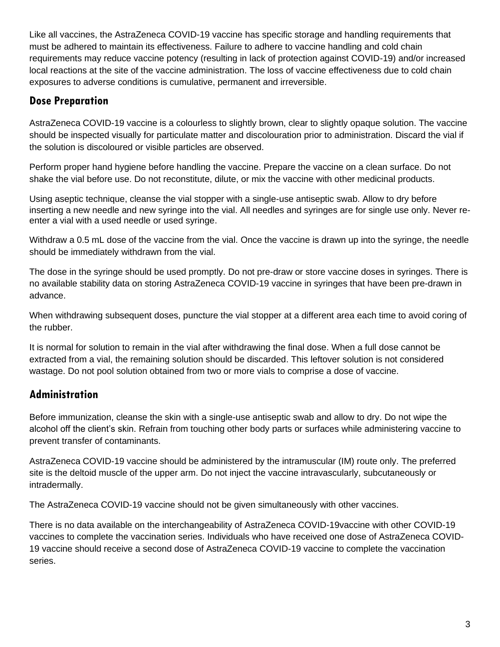Like all vaccines, the AstraZeneca COVID-19 vaccine has specific storage and handling requirements that must be adhered to maintain its effectiveness. Failure to adhere to vaccine handling and cold chain requirements may reduce vaccine potency (resulting in lack of protection against COVID-19) and/or increased local reactions at the site of the vaccine administration. The loss of vaccine effectiveness due to cold chain exposures to adverse conditions is cumulative, permanent and irreversible.

# **Dose Preparation**

AstraZeneca COVID-19 vaccine is a colourless to slightly brown, clear to slightly opaque solution. The vaccine should be inspected visually for particulate matter and discolouration prior to administration. Discard the vial if the solution is discoloured or visible particles are observed.

Perform proper hand hygiene before handling the vaccine. Prepare the vaccine on a clean surface. Do not shake the vial before use. Do not reconstitute, dilute, or mix the vaccine with other medicinal products.

Using aseptic technique, cleanse the vial stopper with a single-use antiseptic swab. Allow to dry before inserting a new needle and new syringe into the vial. All needles and syringes are for single use only. Never reenter a vial with a used needle or used syringe.

Withdraw a 0.5 mL dose of the vaccine from the vial. Once the vaccine is drawn up into the syringe, the needle should be immediately withdrawn from the vial.

The dose in the syringe should be used promptly. Do not pre-draw or store vaccine doses in syringes. There is no available stability data on storing AstraZeneca COVID-19 vaccine in syringes that have been pre-drawn in advance.

When withdrawing subsequent doses, puncture the vial stopper at a different area each time to avoid coring of the rubber.

It is normal for solution to remain in the vial after withdrawing the final dose. When a full dose cannot be extracted from a vial, the remaining solution should be discarded. This leftover solution is not considered wastage. Do not pool solution obtained from two or more vials to comprise a dose of vaccine.

# **Administration**

Before immunization, cleanse the skin with a single-use antiseptic swab and allow to dry. Do not wipe the alcohol off the client's skin. Refrain from touching other body parts or surfaces while administering vaccine to prevent transfer of contaminants.

AstraZeneca COVID-19 vaccine should be administered by the intramuscular (IM) route only. The preferred site is the deltoid muscle of the upper arm. Do not inject the vaccine intravascularly, subcutaneously or intradermally.

The AstraZeneca COVID-19 vaccine should not be given simultaneously with other vaccines.

There is no data available on the interchangeability of AstraZeneca COVID-19vaccine with other COVID-19 vaccines to complete the vaccination series. Individuals who have received one dose of AstraZeneca COVID-19 vaccine should receive a second dose of AstraZeneca COVID-19 vaccine to complete the vaccination series.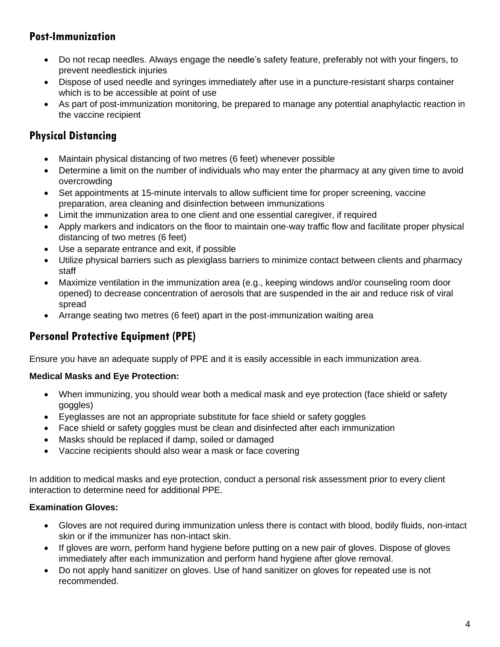# **Post-Immunization**

- Do not recap needles. Always engage the needle's safety feature, preferably not with your fingers, to prevent needlestick injuries
- Dispose of used needle and syringes immediately after use in a puncture-resistant sharps container which is to be accessible at point of use
- As part of post-immunization monitoring, be prepared to manage any potential anaphylactic reaction in the vaccine recipient

# **Physical Distancing**

- Maintain physical distancing of two metres (6 feet) whenever possible
- Determine a limit on the number of individuals who may enter the pharmacy at any given time to avoid overcrowding
- Set appointments at 15-minute intervals to allow sufficient time for proper screening, vaccine preparation, area cleaning and disinfection between immunizations
- Limit the immunization area to one client and one essential caregiver, if required
- Apply markers and indicators on the floor to maintain one-way traffic flow and facilitate proper physical distancing of two metres (6 feet)
- Use a separate entrance and exit, if possible
- Utilize physical barriers such as plexiglass barriers to minimize contact between clients and pharmacy staff
- Maximize ventilation in the immunization area (e.g., keeping windows and/or counseling room door opened) to decrease concentration of aerosols that are suspended in the air and reduce risk of viral spread
- Arrange seating two metres (6 feet) apart in the post-immunization waiting area

# **Personal Protective Equipment (PPE)**

Ensure you have an adequate supply of PPE and it is easily accessible in each immunization area.

#### **Medical Masks and Eye Protection:**

- When immunizing, you should wear both a medical mask and eye protection (face shield or safety goggles)
- Eyeglasses are not an appropriate substitute for face shield or safety goggles
- Face shield or safety goggles must be clean and disinfected after each immunization
- Masks should be replaced if damp, soiled or damaged
- Vaccine recipients should also wear a mask or face covering

In addition to medical masks and eye protection, conduct a personal risk assessment prior to every client interaction to determine need for additional PPE.

#### **Examination Gloves:**

- Gloves are not required during immunization unless there is contact with blood, bodily fluids, non-intact skin or if the immunizer has non-intact skin.
- If gloves are worn, perform hand hygiene before putting on a new pair of gloves. Dispose of gloves immediately after each immunization and perform hand hygiene after glove removal.
- Do not apply hand sanitizer on gloves. Use of hand sanitizer on gloves for repeated use is not recommended.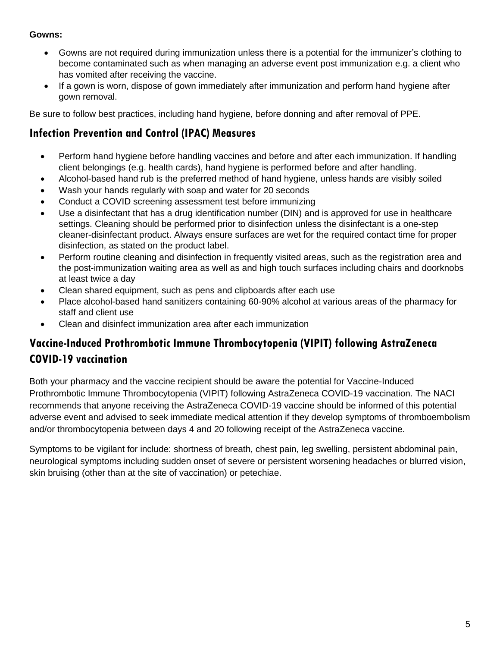#### **Gowns:**

- Gowns are not required during immunization unless there is a potential for the immunizer's clothing to become contaminated such as when managing an adverse event post immunization e.g. a client who has vomited after receiving the vaccine.
- If a gown is worn, dispose of gown immediately after immunization and perform hand hygiene after gown removal.

Be sure to follow best practices, including hand hygiene, before donning and after removal of PPE.

### **Infection Prevention and Control (IPAC) Measures**

- Perform hand hygiene before handling vaccines and before and after each immunization. If handling client belongings (e.g. health cards), hand hygiene is performed before and after handling.
- Alcohol-based hand rub is the preferred method of hand hygiene, unless hands are visibly soiled
- Wash your hands regularly with soap and water for 20 seconds
- Conduct a COVID screening assessment test before immunizing
- Use a disinfectant that has a drug identification number (DIN) and is approved for use in healthcare settings. Cleaning should be performed prior to disinfection unless the disinfectant is a one-step cleaner-disinfectant product. Always ensure surfaces are wet for the required contact time for proper disinfection, as stated on the product label.
- Perform routine cleaning and disinfection in frequently visited areas, such as the registration area and the post-immunization waiting area as well as and high touch surfaces including chairs and doorknobs at least twice a day
- Clean shared equipment, such as pens and clipboards after each use
- Place alcohol-based hand sanitizers containing 60-90% alcohol at various areas of the pharmacy for staff and client use
- Clean and disinfect immunization area after each immunization

# **Vaccine-Induced Prothrombotic Immune Thrombocytopenia (VIPIT) following AstraZeneca COVID-19 vaccination**

Both your pharmacy and the vaccine recipient should be aware the potential for Vaccine-Induced Prothrombotic Immune Thrombocytopenia (VIPIT) following AstraZeneca COVID-19 vaccination. The NACI recommends that anyone receiving the AstraZeneca COVID-19 vaccine should be informed of this potential adverse event and advised to seek immediate medical attention if they develop symptoms of thromboembolism and/or thrombocytopenia between days 4 and 20 following receipt of the AstraZeneca vaccine.

Symptoms to be vigilant for include: shortness of breath, chest pain, leg swelling, persistent abdominal pain, neurological symptoms including sudden onset of severe or persistent worsening headaches or blurred vision, skin bruising (other than at the site of vaccination) or petechiae.